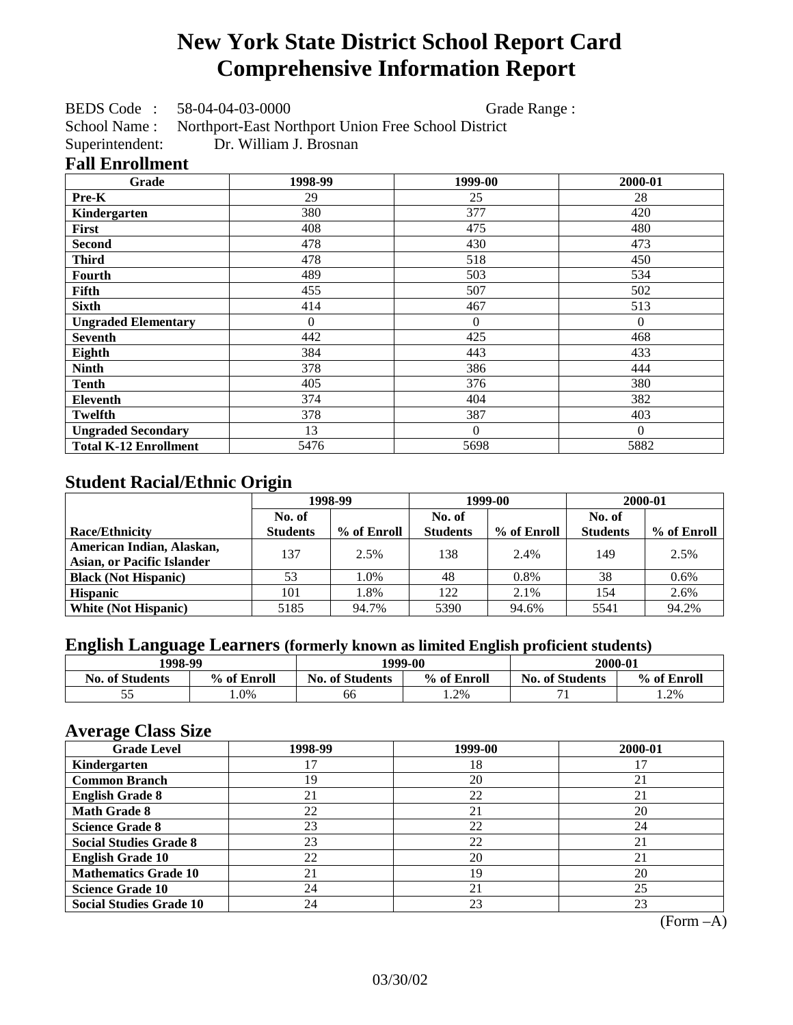# **New York State District School Report Card Comprehensive Information Report**

BEDS Code : 58-04-04-03-0000 Grade Range :

School Name : Northport-East Northport Union Free School District

Superintendent: Dr. William J. Brosnan

### **Fall Enrollment**

| Grade                        | 1998-99        | 1999-00        | 2000-01  |
|------------------------------|----------------|----------------|----------|
| Pre-K                        | 29             | 25             | 28       |
| Kindergarten                 | 380            | 377            | 420      |
| <b>First</b>                 | 408            | 475            | 480      |
| <b>Second</b>                | 478            | 430            | 473      |
| <b>Third</b>                 | 478            | 518            | 450      |
| <b>Fourth</b>                | 489            | 503            | 534      |
| Fifth                        | 455            | 507            | 502      |
| <b>Sixth</b>                 | 414            | 467            | 513      |
| <b>Ungraded Elementary</b>   | $\overline{0}$ | $\overline{0}$ | $\Omega$ |
| <b>Seventh</b>               | 442            | 425            | 468      |
| Eighth                       | 384            | 443            | 433      |
| <b>Ninth</b>                 | 378            | 386            | 444      |
| <b>Tenth</b>                 | 405            | 376            | 380      |
| Eleventh                     | 374            | 404            | 382      |
| Twelfth                      | 378            | 387            | 403      |
| <b>Ungraded Secondary</b>    | 13             | $\Omega$       | $\Omega$ |
| <b>Total K-12 Enrollment</b> | 5476           | 5698           | 5882     |

## **Student Racial/Ethnic Origin**

|                                   | 1998-99         |             | 1999-00         |             | 2000-01         |             |
|-----------------------------------|-----------------|-------------|-----------------|-------------|-----------------|-------------|
|                                   | No. of          |             | No. of          |             | No. of          |             |
| <b>Race/Ethnicity</b>             | <b>Students</b> | % of Enroll | <b>Students</b> | % of Enroll | <b>Students</b> | % of Enroll |
| American Indian, Alaskan,         | 137             | 2.5%        | 138             | 2.4%        | 149             | 2.5%        |
| <b>Asian, or Pacific Islander</b> |                 |             |                 |             |                 |             |
| <b>Black (Not Hispanic)</b>       | 53              | 1.0%        | 48              | 0.8%        | 38              | $0.6\%$     |
| <b>Hispanic</b>                   | 101             | 1.8%        | 122             | 2.1%        | 154             | 2.6%        |
| <b>White (Not Hispanic)</b>       | 5185            | 94.7%       | 5390            | 94.6%       | 5541            | 94.2%       |

### **English Language Learners (formerly known as limited English proficient students)**

| 1998-99                |             |                                       | 1999-00 | 2000-01                |             |
|------------------------|-------------|---------------------------------------|---------|------------------------|-------------|
| <b>No. of Students</b> | % of Enroll | % of Enroll<br><b>No. of Students</b> |         | <b>No. of Students</b> | % of Enroll |
|                        | $.0\%$      | 66                                    | 1.2%    |                        | .2%         |

### **Average Class Size**

| <u>ືຕ</u><br><b>Grade Level</b> | 1998-99 | 1999-00 | 2000-01 |
|---------------------------------|---------|---------|---------|
| Kindergarten                    |         | 18      |         |
| <b>Common Branch</b>            | 19      | 20      | 21      |
| <b>English Grade 8</b>          | 21      | 22      | 21      |
| <b>Math Grade 8</b>             | 22      | 21      | 20      |
| <b>Science Grade 8</b>          | 23      | 22      | 24      |
| <b>Social Studies Grade 8</b>   | 23      | 22      | 21      |
| <b>English Grade 10</b>         | 22      | 20      | 21      |
| <b>Mathematics Grade 10</b>     | 21      | 19      | 20      |
| <b>Science Grade 10</b>         | 24      | 21      | 25      |
| <b>Social Studies Grade 10</b>  | 24      | 23      | 23      |

(Form –A)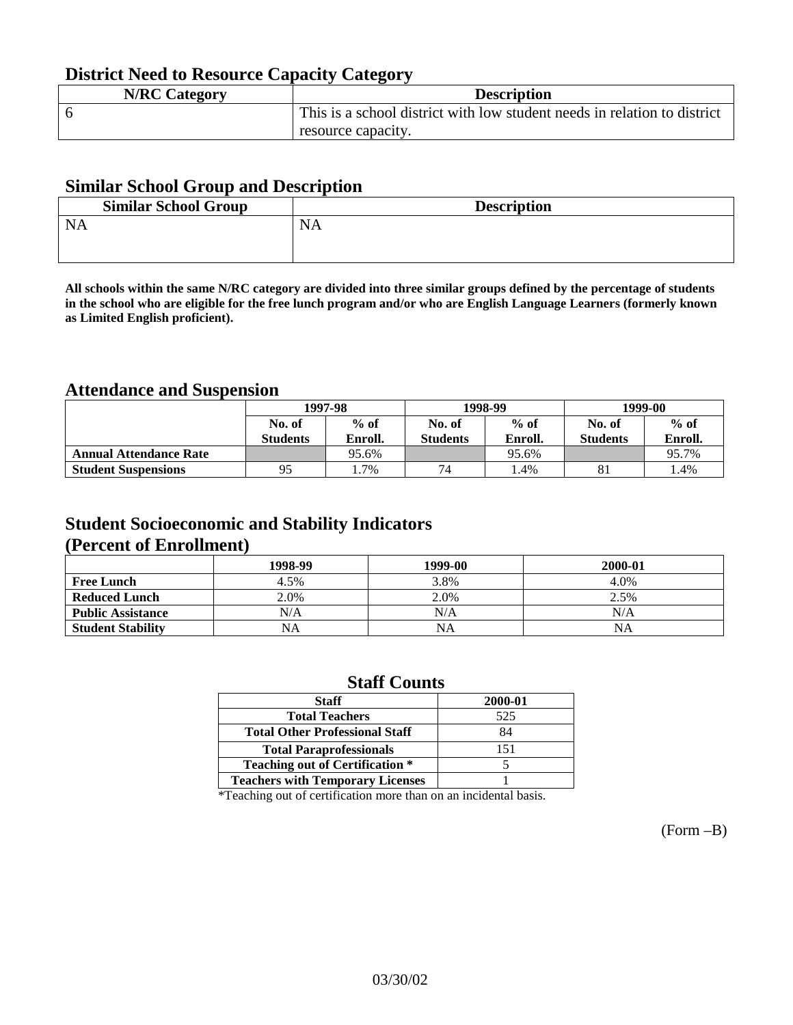## **District Need to Resource Capacity Category**

| <b>N/RC Category</b> | <b>Description</b>                                                       |
|----------------------|--------------------------------------------------------------------------|
|                      | This is a school district with low student needs in relation to district |
|                      | resource capacity.                                                       |

### **Similar School Group and Description**

| <b>Similar School Group</b> | <b>Description</b> |
|-----------------------------|--------------------|
| <b>NA</b>                   | NA.                |

**All schools within the same N/RC category are divided into three similar groups defined by the percentage of students in the school who are eligible for the free lunch program and/or who are English Language Learners (formerly known as Limited English proficient).**

### **Attendance and Suspension**

|                               | 1997-98         |         |                 | 1998-99 | 1999-00         |         |
|-------------------------------|-----------------|---------|-----------------|---------|-----------------|---------|
|                               | No. of          | $%$ of  | No. of          | $%$ of  | No. of          | $%$ of  |
|                               | <b>Students</b> | Enroll. | <b>Students</b> | Enroll. | <b>Students</b> | Enroll. |
| <b>Annual Attendance Rate</b> |                 | 95.6%   |                 | 95.6%   |                 | 95.7%   |
| <b>Student Suspensions</b>    | 95              | .7%     | 74              | .4%     | 81              | l.4%    |

## **Student Socioeconomic and Stability Indicators (Percent of Enrollment)**

|                          | 1998-99 | 1999-00   | 2000-01 |
|--------------------------|---------|-----------|---------|
| <b>Free Lunch</b>        | 4.5%    | 3.8%      | 4.0%    |
| <b>Reduced Lunch</b>     | 2.0%    | 2.0%      | 2.5%    |
| <b>Public Assistance</b> | N/A     | N/A       | N/A     |
| <b>Student Stability</b> | NA      | <b>NA</b> | NA      |

### **Staff Counts**

| <b>Staff</b>                            | 2000-01 |
|-----------------------------------------|---------|
| <b>Total Teachers</b>                   | 525     |
| <b>Total Other Professional Staff</b>   | 84      |
| <b>Total Paraprofessionals</b>          | 151     |
| <b>Teaching out of Certification *</b>  |         |
| <b>Teachers with Temporary Licenses</b> |         |

\*Teaching out of certification more than on an incidental basis.

(Form –B)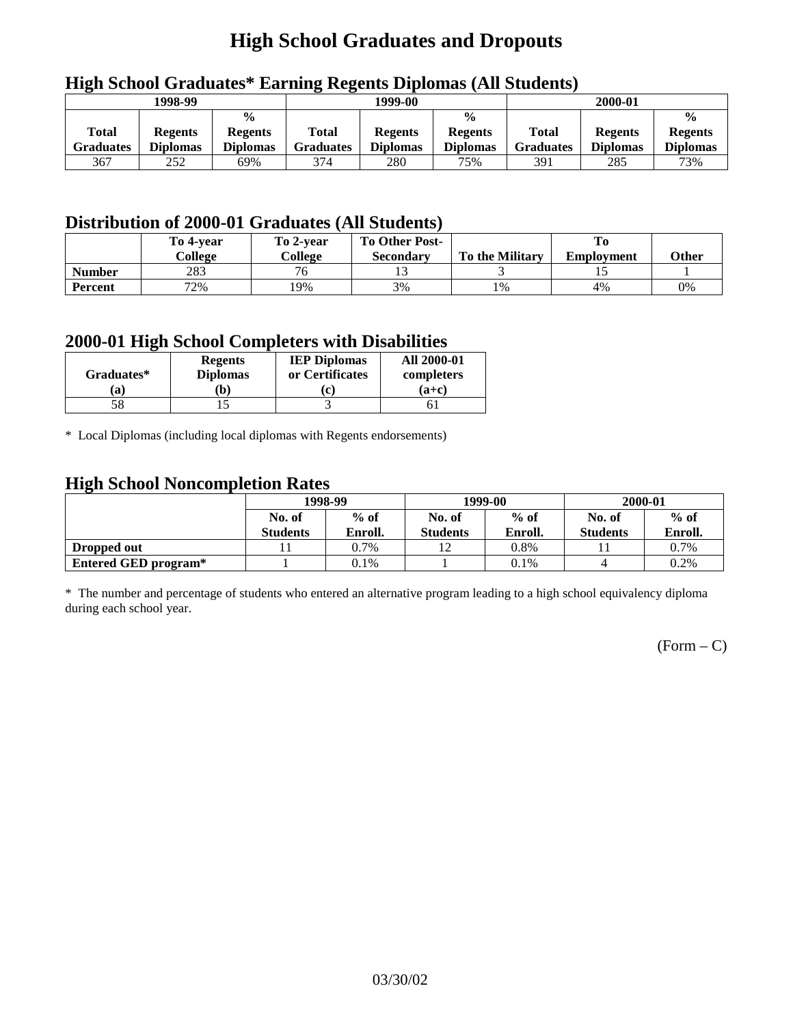# **High School Graduates and Dropouts**

|                           | 1998-99                           |                                                    |                           | 1999-00                           |                                                    |                                  | 2000-01                           |                                                    |
|---------------------------|-----------------------------------|----------------------------------------------------|---------------------------|-----------------------------------|----------------------------------------------------|----------------------------------|-----------------------------------|----------------------------------------------------|
| <b>Total</b><br>Graduates | <b>Regents</b><br><b>Diplomas</b> | $\frac{0}{0}$<br><b>Regents</b><br><b>Diplomas</b> | Total<br><b>Graduates</b> | <b>Regents</b><br><b>Diplomas</b> | $\frac{6}{6}$<br><b>Regents</b><br><b>Diplomas</b> | <b>Total</b><br><b>Graduates</b> | <b>Regents</b><br><b>Diplomas</b> | $\frac{0}{0}$<br><b>Regents</b><br><b>Diplomas</b> |
| 367                       | 252                               | 69%                                                | 374                       | 280                               | 75%                                                | 391                              | 285                               | 73%                                                |

## **High School Graduates\* Earning Regents Diplomas (All Students)**

## **Distribution of 2000-01 Graduates (All Students)**

|                | To 4-year<br>College | To 2-year<br>College     | <b>To Other Post-</b><br><b>Secondary</b> | <b>To the Military</b> | <b>Employment</b> | Other |
|----------------|----------------------|--------------------------|-------------------------------------------|------------------------|-------------------|-------|
| <b>Number</b>  | 283                  | $\overline{\phantom{a}}$ |                                           |                        |                   |       |
| <b>Percent</b> | 72%                  | 19%                      | 3%                                        | 1%                     | 4%                | 0%    |

### **2000-01 High School Completers with Disabilities**

| Graduates* | <b>Regents</b><br><b>Diplomas</b> | <b>IEP Diplomas</b><br>or Certificates | <b>All 2000-01</b><br>completers |
|------------|-----------------------------------|----------------------------------------|----------------------------------|
| 'a         | b)                                |                                        | $(a+c)$                          |
|            |                                   |                                        |                                  |

\* Local Diplomas (including local diplomas with Regents endorsements)

### **High School Noncompletion Rates**

| ັ                    | 1998-99         |         |                 | 1999-00 | 2000-01         |         |
|----------------------|-----------------|---------|-----------------|---------|-----------------|---------|
|                      | No. of          | $%$ of  | No. of          | $%$ of  | No. of          | $%$ of  |
|                      | <b>Students</b> | Enroll. | <b>Students</b> | Enroll. | <b>Students</b> | Enroll. |
| Dropped out          |                 | 0.7%    |                 | 0.8%    |                 | 0.7%    |
| Entered GED program* |                 | 0.1%    |                 | 0.1%    |                 | 0.2%    |

\* The number and percentage of students who entered an alternative program leading to a high school equivalency diploma during each school year.

 $(Form - C)$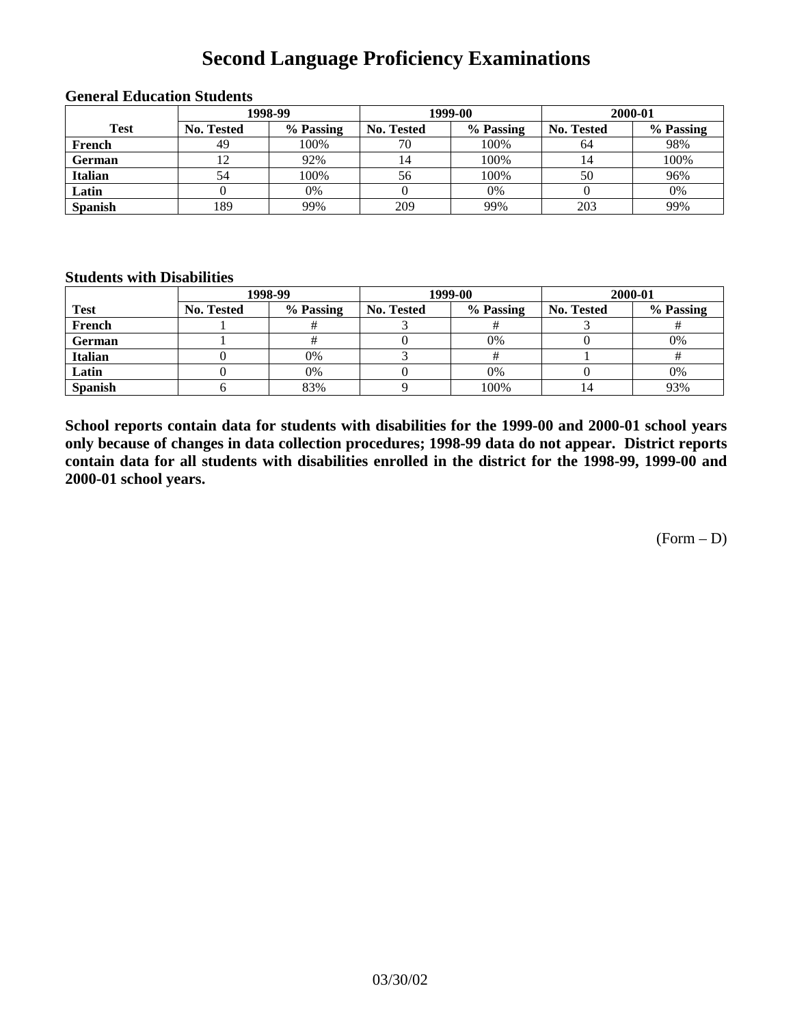## **Second Language Proficiency Examinations**

|                | 1998-99    |           |                   | 1999-00   | 2000-01           |           |  |
|----------------|------------|-----------|-------------------|-----------|-------------------|-----------|--|
| <b>Test</b>    | No. Tested | % Passing | <b>No. Tested</b> | % Passing | <b>No. Tested</b> | % Passing |  |
| French         | 49         | 100%      | 70                | 100%      | 64                | 98%       |  |
| <b>German</b>  | 12         | 92%       | 14                | 100%      |                   | 100%      |  |
| <b>Italian</b> | 54         | 100%      | 56                | 100%      | 50                | 96%       |  |
| Latin          |            | 0%        |                   | 0%        |                   | 0%        |  |
| <b>Spanish</b> | 189        | 99%       | 209               | 99%       | 203               | 99%       |  |

### **General Education Students**

#### **Students with Disabilities**

|                | 1998-99           |           |                   | 1999-00   | 2000-01    |           |  |
|----------------|-------------------|-----------|-------------------|-----------|------------|-----------|--|
| <b>Test</b>    | <b>No. Tested</b> | % Passing | <b>No. Tested</b> | % Passing | No. Tested | % Passing |  |
| French         |                   |           |                   |           |            |           |  |
| German         |                   |           |                   | 0%        |            | 0%        |  |
| Italian        |                   | 0%        |                   |           |            |           |  |
| Latin          |                   | 0%        |                   | 0%        |            | 0%        |  |
| <b>Spanish</b> |                   | 83%       |                   | 100%      |            | 93%       |  |

**School reports contain data for students with disabilities for the 1999-00 and 2000-01 school years only because of changes in data collection procedures; 1998-99 data do not appear. District reports contain data for all students with disabilities enrolled in the district for the 1998-99, 1999-00 and 2000-01 school years.**

 $(Form - D)$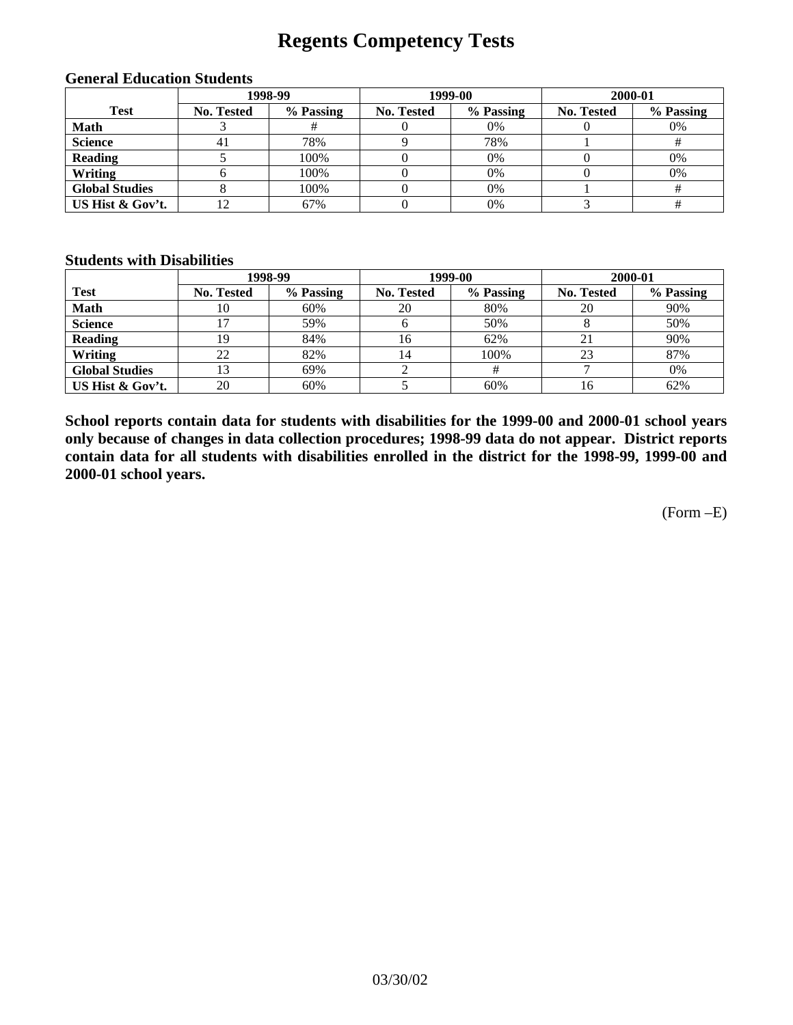## **Regents Competency Tests**

|                       |            | 1998-99   |            | 1999-00   | 2000-01           |           |  |
|-----------------------|------------|-----------|------------|-----------|-------------------|-----------|--|
| <b>Test</b>           | No. Tested | % Passing | No. Tested | % Passing | <b>No. Tested</b> | % Passing |  |
| <b>Math</b>           |            |           |            | 0%        |                   | 0%        |  |
| <b>Science</b>        | 41         | 78%       |            | 78%       |                   |           |  |
| <b>Reading</b>        |            | 100%      |            | 0%        |                   | 0%        |  |
| Writing               |            | 100%      |            | 0%        |                   | 0%        |  |
| <b>Global Studies</b> |            | 100%      |            | 0%        |                   |           |  |
| US Hist & Gov't.      |            | 67%       |            | 0%        |                   |           |  |

#### **General Education Students**

#### **Students with Disabilities**

|                       |                   | 1998-99   | 1999-00    |           | 2000-01    |           |
|-----------------------|-------------------|-----------|------------|-----------|------------|-----------|
| <b>Test</b>           | <b>No. Tested</b> | % Passing | No. Tested | % Passing | No. Tested | % Passing |
| <b>Math</b>           | 10                | 60%       | 20         | 80%       | 20         | 90%       |
| <b>Science</b>        |                   | 59%       |            | 50%       |            | 50%       |
| <b>Reading</b>        | 19                | 84%       | 16         | 62%       |            | 90%       |
| Writing               | 22                | 82%       | 14         | 100%      | 23         | 87%       |
| <b>Global Studies</b> | 3                 | 69%       |            |           |            | 0%        |
| US Hist & Gov't.      | 20                | 60%       |            | 60%       | 16         | 62%       |

**School reports contain data for students with disabilities for the 1999-00 and 2000-01 school years only because of changes in data collection procedures; 1998-99 data do not appear. District reports contain data for all students with disabilities enrolled in the district for the 1998-99, 1999-00 and 2000-01 school years.**

(Form –E)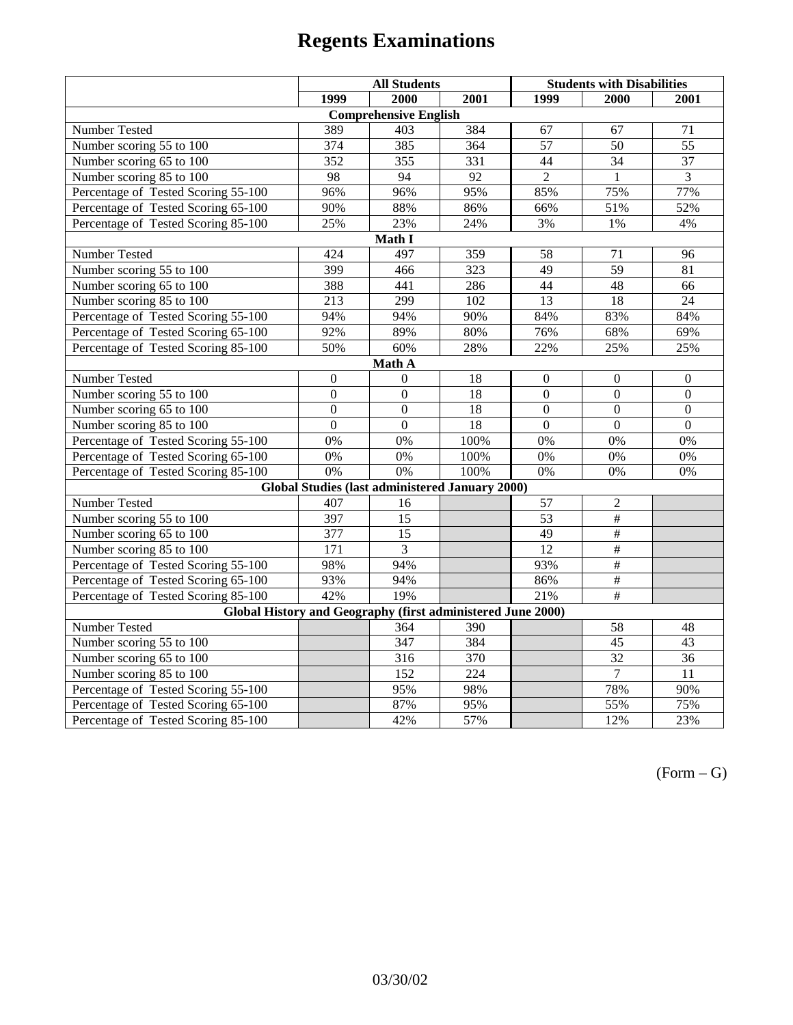|                                                             | <b>All Students</b> |                                                        |                  | <b>Students with Disabilities</b> |                  |                  |  |  |
|-------------------------------------------------------------|---------------------|--------------------------------------------------------|------------------|-----------------------------------|------------------|------------------|--|--|
|                                                             | 1999                | 2000                                                   | 2001             | 1999                              | 2000             | 2001             |  |  |
|                                                             |                     | <b>Comprehensive English</b>                           |                  |                                   |                  |                  |  |  |
| Number Tested                                               | 389                 | 403                                                    | 384              | 67                                | 67               | 71               |  |  |
| Number scoring 55 to 100                                    | 374                 | 385                                                    | 364              | $\overline{57}$                   | 50               | $\overline{55}$  |  |  |
| Number scoring 65 to 100                                    | 352                 | 355                                                    | 331              | 44                                | 34               | 37               |  |  |
| Number scoring 85 to 100                                    | 98                  | 94                                                     | 92               | $\overline{2}$                    | $\mathbf{1}$     | $\overline{3}$   |  |  |
| Percentage of Tested Scoring 55-100                         | 96%                 | 96%                                                    | 95%              | 85%                               | 75%              | 77%              |  |  |
| Percentage of Tested Scoring 65-100                         | 90%                 | 88%                                                    | 86%              | 66%                               | 51%              | 52%              |  |  |
| Percentage of Tested Scoring 85-100                         | 25%                 | 23%                                                    | 24%              | 3%                                | $1\%$            | 4%               |  |  |
|                                                             |                     | Math I                                                 |                  |                                   |                  |                  |  |  |
| Number Tested<br>424<br>497<br>359<br>58<br>71<br>96        |                     |                                                        |                  |                                   |                  |                  |  |  |
| Number scoring 55 to 100                                    | 399                 | 466                                                    | 323              | 49                                | $\overline{59}$  | 81               |  |  |
| Number scoring 65 to 100                                    | 388                 | 441                                                    | 286              | 44                                | 48               | 66               |  |  |
| Number scoring 85 to 100                                    | $\overline{213}$    | 299                                                    | 102              | $\overline{13}$                   | $\overline{18}$  | $\overline{24}$  |  |  |
| Percentage of Tested Scoring 55-100                         | 94%                 | 94%                                                    | 90%              | 84%                               | 83%              | 84%              |  |  |
| Percentage of Tested Scoring 65-100                         | 92%                 | 89%                                                    | 80%              | 76%                               | 68%              | 69%              |  |  |
| Percentage of Tested Scoring 85-100                         | 50%                 | 60%                                                    | 28%              | 22%                               | 25%              | 25%              |  |  |
| Math A                                                      |                     |                                                        |                  |                                   |                  |                  |  |  |
| Number Tested                                               | $\mathbf{0}$        | $\boldsymbol{0}$                                       | 18               | $\mathbf{0}$                      | $\mathbf{0}$     | $\boldsymbol{0}$ |  |  |
| Number scoring 55 to 100                                    | $\overline{0}$      | $\overline{0}$                                         | 18               | $\overline{0}$                    | $\overline{0}$   | $\overline{0}$   |  |  |
| Number scoring 65 to 100                                    | $\boldsymbol{0}$    | $\boldsymbol{0}$                                       | 18               | $\overline{0}$                    | $\boldsymbol{0}$ | $\boldsymbol{0}$ |  |  |
| Number scoring 85 to 100                                    | $\mathbf{0}$        | $\mathbf{0}$                                           | 18               | $\mathbf{0}$                      | $\mathbf{0}$     | $\mathbf{0}$     |  |  |
| Percentage of Tested Scoring 55-100                         | 0%                  | 0%                                                     | 100%             | 0%                                | 0%               | 0%               |  |  |
| Percentage of Tested Scoring 65-100                         | 0%                  | 0%                                                     | 100%             | 0%                                | 0%               | 0%               |  |  |
| Percentage of Tested Scoring 85-100                         | 0%                  | $\overline{0\%}$                                       | 100%             | 0%                                | 0%               | 0%               |  |  |
|                                                             |                     | <b>Global Studies (last administered January 2000)</b> |                  |                                   |                  |                  |  |  |
| Number Tested                                               | 407                 | 16                                                     |                  | 57                                | $\mathbf{2}$     |                  |  |  |
| Number scoring 55 to 100                                    | 397                 | $\overline{15}$                                        |                  | $\overline{53}$                   | #                |                  |  |  |
| Number scoring 65 to 100                                    | 377                 | $\overline{15}$                                        |                  | 49                                | #                |                  |  |  |
| Number scoring $85 \overline{\text{to } 100}$               | $\overline{171}$    | 3                                                      |                  | $\overline{12}$                   | #                |                  |  |  |
| Percentage of Tested Scoring 55-100                         | 98%                 | 94%                                                    |                  | 93%                               | #                |                  |  |  |
| Percentage of Tested Scoring 65-100                         | 93%                 | 94%                                                    |                  | 86%                               | #                |                  |  |  |
| Percentage of Tested Scoring 85-100                         | 42%                 | 19%                                                    |                  | 21%                               | $\overline{+}$   |                  |  |  |
| Global History and Geography (first administered June 2000) |                     |                                                        |                  |                                   |                  |                  |  |  |
| Number Tested                                               |                     | 364                                                    | 390              |                                   | 58               | 48               |  |  |
| Number scoring 55 to 100                                    |                     | 347                                                    | 384              |                                   | 45               | 43               |  |  |
| Number scoring 65 to 100                                    |                     | 316                                                    | 370              |                                   | 32               | 36               |  |  |
| Number scoring 85 to 100                                    |                     | 152                                                    | $\overline{224}$ |                                   | $\overline{7}$   | 11               |  |  |
| Percentage of Tested Scoring 55-100                         |                     | 95%                                                    | 98%              |                                   | 78%              | 90%              |  |  |
| Percentage of Tested Scoring 65-100                         |                     | 87%                                                    | 95%              |                                   | 55%              | 75%              |  |  |
| Percentage of Tested Scoring 85-100                         |                     | 42%                                                    | 57%              |                                   | 12%              | 23%              |  |  |

 $(Form - G)$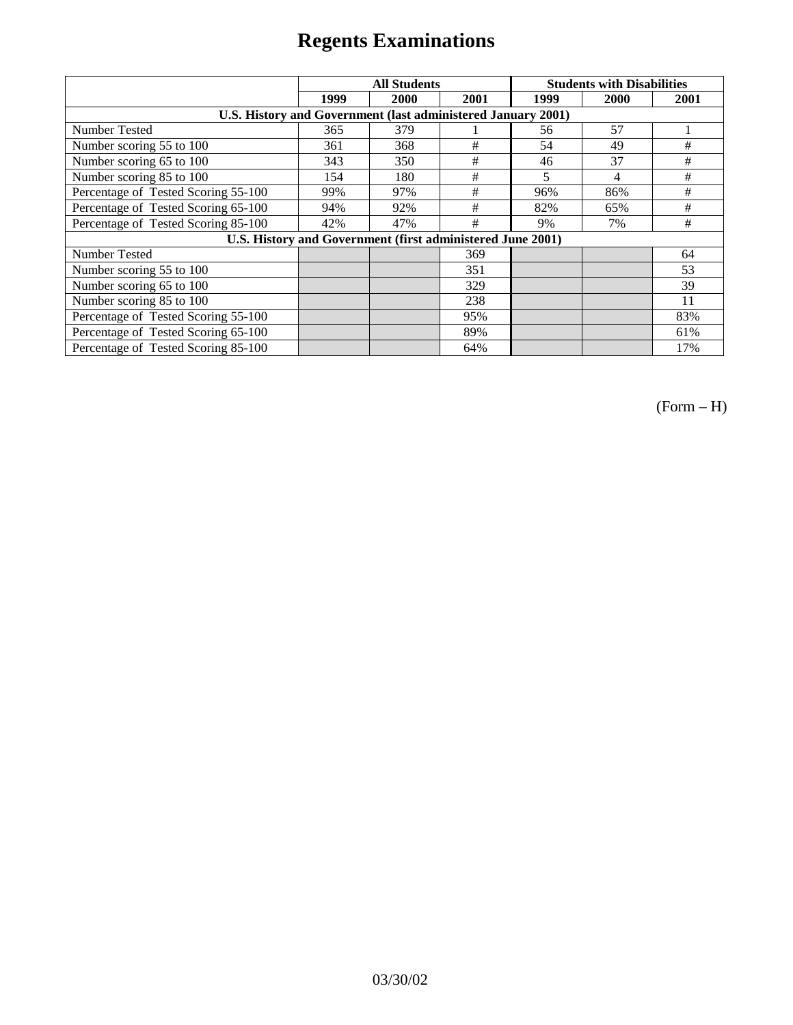|                                                              | <b>All Students</b> |                                                            |      | <b>Students with Disabilities</b> |      |      |
|--------------------------------------------------------------|---------------------|------------------------------------------------------------|------|-----------------------------------|------|------|
|                                                              | 1999                | 2000                                                       | 2001 | 1999                              | 2000 | 2001 |
| U.S. History and Government (last administered January 2001) |                     |                                                            |      |                                   |      |      |
| Number Tested                                                | 365                 | 379                                                        |      | 56                                | 57   |      |
| Number scoring 55 to 100                                     | 361                 | 368                                                        | #    | 54                                | 49   | #    |
| Number scoring 65 to 100                                     | 343                 | 350                                                        | #    | 46                                | 37   | #    |
| Number scoring 85 to 100                                     | 154                 | 180                                                        | #    | 5                                 | 4    | #    |
| Percentage of Tested Scoring 55-100                          | 99%                 | 97%                                                        | #    | 96%                               | 86%  | #    |
| Percentage of Tested Scoring 65-100                          | 94%                 | 92%                                                        | #    | 82%                               | 65%  | #    |
| Percentage of Tested Scoring 85-100                          | 42%                 | 47%                                                        | #    | 9%                                | 7%   | #    |
|                                                              |                     | U.S. History and Government (first administered June 2001) |      |                                   |      |      |
| Number Tested                                                |                     |                                                            | 369  |                                   |      | 64   |
| Number scoring 55 to 100                                     |                     |                                                            | 351  |                                   |      | 53   |
| Number scoring 65 to 100                                     |                     |                                                            | 329  |                                   |      | 39   |
| Number scoring 85 to 100                                     |                     |                                                            | 238  |                                   |      | 11   |
| Percentage of Tested Scoring 55-100                          |                     |                                                            | 95%  |                                   |      | 83%  |
| Percentage of Tested Scoring 65-100                          |                     |                                                            | 89%  |                                   |      | 61%  |
| Percentage of Tested Scoring 85-100                          |                     |                                                            | 64%  |                                   |      | 17%  |

(Form – H)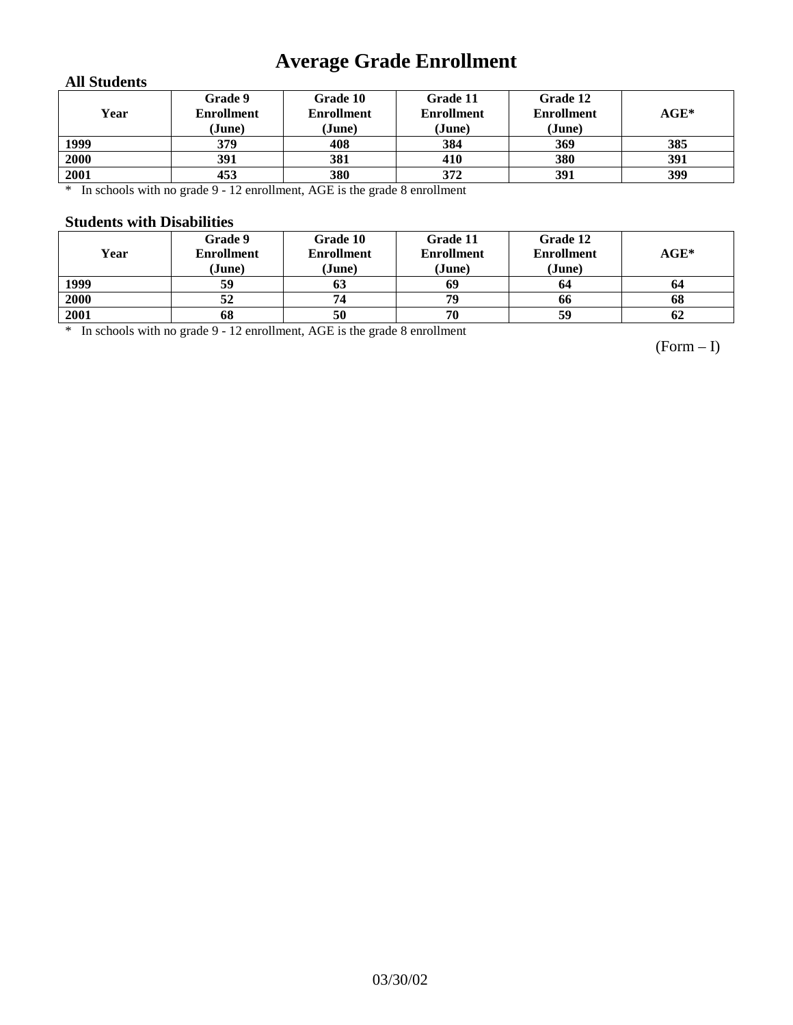# **Average Grade Enrollment**

### **All Students**

| Year | Grade 9<br><b>Enrollment</b><br>(June) | Grade 10<br><b>Enrollment</b><br>(June) | Grade 11<br><b>Enrollment</b><br>(June) | Grade 12<br><b>Enrollment</b><br>(June) | $AGE^*$ |
|------|----------------------------------------|-----------------------------------------|-----------------------------------------|-----------------------------------------|---------|
| 1999 | 379                                    | 408                                     | 384                                     | 369                                     | 385     |
| 2000 | 391                                    | 381                                     | 410                                     | 380                                     | 391     |
| 2001 | 453                                    | 380                                     | 372                                     | 391                                     | 399     |

\* In schools with no grade 9 - 12 enrollment, AGE is the grade 8 enrollment

#### **Students with Disabilities**

| Year | Grade 9<br><b>Enrollment</b><br>(June) | Grade 10<br><b>Enrollment</b><br>(June) | Grade 11<br><b>Enrollment</b><br>(June) | Grade 12<br><b>Enrollment</b><br>(June) | $\mathbf{AGE}^*$ |
|------|----------------------------------------|-----------------------------------------|-----------------------------------------|-----------------------------------------|------------------|
| 1999 | 59                                     | 03                                      | 69                                      | 64                                      | 64               |
| 2000 | 52                                     | 74                                      | 79                                      | 66                                      | 68               |
| 2001 | 68                                     | 50                                      | 70                                      | 59                                      | 62               |

\* In schools with no grade 9 - 12 enrollment, AGE is the grade 8 enrollment

(Form – I)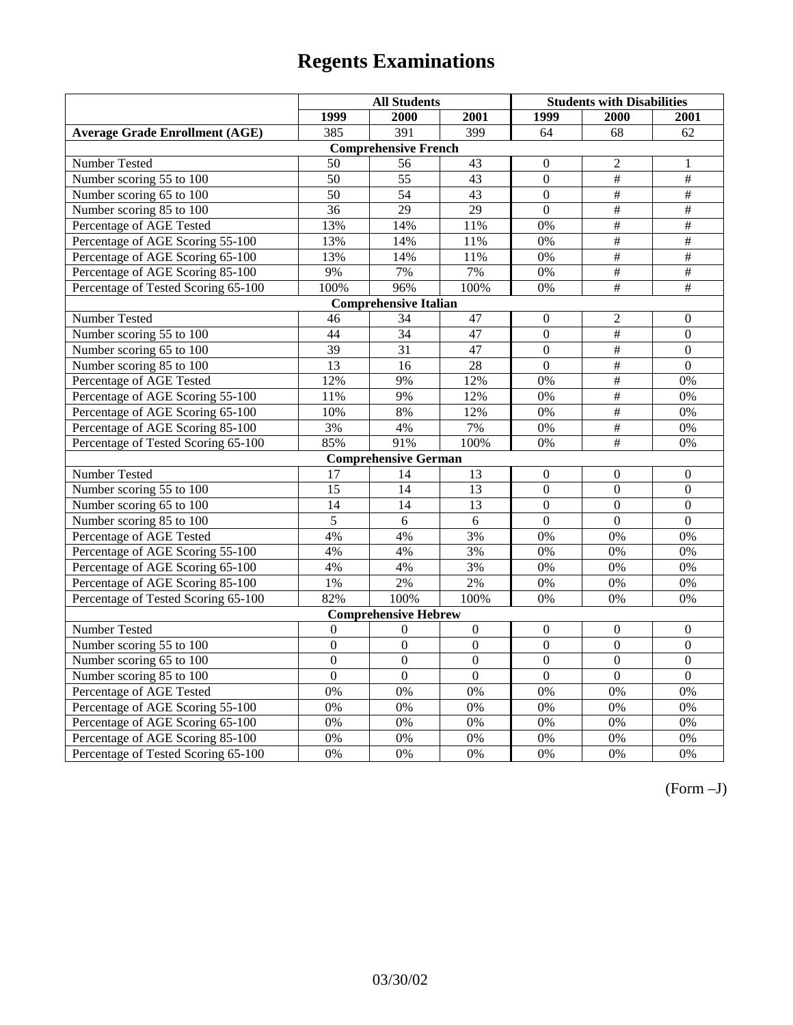|                                       | <b>All Students</b> |                              |                  | <b>Students with Disabilities</b> |                       |                  |
|---------------------------------------|---------------------|------------------------------|------------------|-----------------------------------|-----------------------|------------------|
|                                       | 1999                | 2000                         | 2001             | 1999                              | 2000                  | 2001             |
| <b>Average Grade Enrollment (AGE)</b> | 385                 | 391                          | 399              | 64                                | 68                    | 62               |
|                                       |                     | <b>Comprehensive French</b>  |                  |                                   |                       |                  |
| <b>Number Tested</b>                  | 50                  | 56                           | 43               | $\theta$                          | 2                     | 1                |
| Number scoring 55 to 100              | 50                  | $\overline{55}$              | $\overline{43}$  | $\Omega$                          | $\overline{+}$        | $\#$             |
| Number scoring 65 to 100              | 50                  | 54                           | 43               | $\mathbf{0}$                      | $\#$                  | $\#$             |
| Number scoring 85 to 100              | 36                  | 29                           | 29               | $\overline{0}$                    | $\overline{\#}$       | #                |
| Percentage of AGE Tested              | 13%                 | 14%                          | 11%              | 0%                                | #                     | $\overline{\#}$  |
| Percentage of AGE Scoring 55-100      | 13%                 | 14%                          | 11%              | 0%                                | $\#$                  | $\#$             |
| Percentage of AGE Scoring 65-100      | 13%                 | 14%                          | 11%              | 0%                                | $\#$                  | $\#$             |
| Percentage of AGE Scoring 85-100      | 9%                  | $7\%$                        | $7\%$            | 0%                                | $\#$                  | $\#$             |
| Percentage of Tested Scoring 65-100   | 100%                | 96%                          | 100%             | 0%                                | $\overline{\ddot{x}}$ | #                |
|                                       |                     | <b>Comprehensive Italian</b> |                  |                                   |                       |                  |
| Number Tested                         | 46                  | 34                           | 47               | $\theta$                          | $\overline{c}$        | $\Omega$         |
| Number scoring 55 to 100              | $\overline{44}$     | $\overline{34}$              | 47               | $\boldsymbol{0}$                  | #                     | $\overline{0}$   |
| Number scoring 65 to 100              | 39                  | 31                           | 47               | $\overline{0}$                    | $\#$                  | $\mathbf{0}$     |
| Number scoring 85 to 100              | 13                  | 16                           | 28               | $\mathbf{0}$                      | $\#$                  | $\overline{0}$   |
| Percentage of AGE Tested              | 12%                 | 9%                           | 12%              | 0%                                | $\#$                  | 0%               |
| Percentage of AGE Scoring 55-100      | 11%                 | 9%                           | 12%              | 0%                                | #                     | 0%               |
| Percentage of AGE Scoring 65-100      | 10%                 | 8%                           | 12%              | 0%                                | $\overline{\#}$       | 0%               |
| Percentage of AGE Scoring 85-100      | 3%                  | 4%                           | 7%               | 0%                                | $\overline{\#}$       | 0%               |
| Percentage of Tested Scoring 65-100   | 85%                 | 91%                          | 100%             | 0%                                | $\#$                  | 0%               |
|                                       |                     | <b>Comprehensive German</b>  |                  |                                   |                       |                  |
| Number Tested                         | 17                  | 14                           | 13               | $\mathbf{0}$                      | $\overline{0}$        | $\mathbf{0}$     |
| Number scoring 55 to 100              | 15                  | 14                           | 13               | $\boldsymbol{0}$                  | $\boldsymbol{0}$      | $\boldsymbol{0}$ |
| Number scoring 65 to 100              | 14                  | 14                           | 13               | $\mathbf{0}$                      | $\overline{0}$        | $\mathbf{0}$     |
| Number scoring 85 to 100              | $\overline{5}$      | $\overline{6}$               | 6                | $\overline{0}$                    | $\overline{0}$        | $\overline{0}$   |
| Percentage of AGE Tested              | 4%                  | 4%                           | 3%               | 0%                                | 0%                    | 0%               |
| Percentage of AGE Scoring 55-100      | 4%                  | 4%                           | 3%               | 0%                                | 0%                    | 0%               |
| Percentage of AGE Scoring 65-100      | 4%                  | 4%                           | 3%               | 0%                                | 0%                    | 0%               |
| Percentage of AGE Scoring 85-100      | $1\%$               | 2%                           | 2%               | 0%                                | 0%                    | 0%               |
| Percentage of Tested Scoring 65-100   | 82%                 | 100%                         | 100%             | 0%                                | 0%                    | 0%               |
|                                       |                     | <b>Comprehensive Hebrew</b>  |                  |                                   |                       |                  |
| Number Tested                         | $\boldsymbol{0}$    | $\Omega$                     | $\boldsymbol{0}$ | $\boldsymbol{0}$                  | $\boldsymbol{0}$      | $\boldsymbol{0}$ |
| Number scoring 55 to 100              | $\boldsymbol{0}$    | $\mathbf{0}$                 | $\mathbf{0}$     | $\mathbf{0}$                      | $\overline{0}$        | $\mathbf{0}$     |
| Number scoring 65 to 100              | $\boldsymbol{0}$    | $\mathbf{0}$                 | $\overline{0}$   | $\mathbf{0}$                      | $\overline{0}$        | $\mathbf{0}$     |
| Number scoring 85 to 100              | $\overline{0}$      | $\overline{0}$               | $\overline{0}$   | $\overline{0}$                    | $\mathbf{0}$          | $\boldsymbol{0}$ |
| Percentage of AGE Tested              | 0%                  | 0%                           | 0%               | 0%                                | 0%                    | 0%               |
| Percentage of AGE Scoring 55-100      | 0%                  | 0%                           | 0%               | 0%                                | 0%                    | 0%               |
| Percentage of AGE Scoring 65-100      | 0%                  | 0%                           | 0%               | 0%                                | 0%                    | 0%               |
| Percentage of AGE Scoring 85-100      | 0%                  | 0%                           | 0%               | 0%                                | 0%                    | $0\%$            |
| Percentage of Tested Scoring 65-100   | 0%                  | 0%                           | 0%               | 0%                                | 0%                    | 0%               |

(Form –J)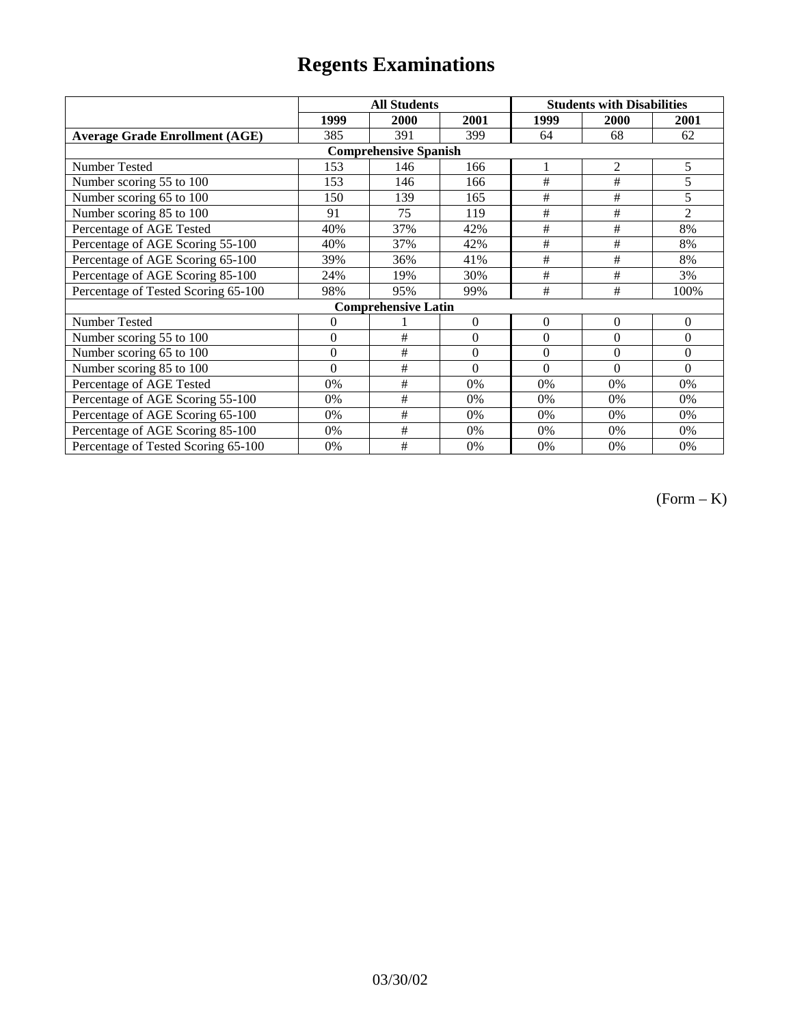|                                       | <b>All Students</b> |                            |                  | <b>Students with Disabilities</b> |                |                |  |  |
|---------------------------------------|---------------------|----------------------------|------------------|-----------------------------------|----------------|----------------|--|--|
|                                       | 1999                | 2000                       | 2001             | 1999                              | 2000           | 2001           |  |  |
| <b>Average Grade Enrollment (AGE)</b> | 385                 | 391                        | 399              | 64                                | 68             | 62             |  |  |
| <b>Comprehensive Spanish</b>          |                     |                            |                  |                                   |                |                |  |  |
| Number Tested                         | 153                 | 146                        | 166              |                                   | $\overline{2}$ | 5              |  |  |
| Number scoring 55 to 100              | 153                 | 146                        | 166              | #                                 | #              | 5              |  |  |
| Number scoring 65 to 100              | 150                 | 139                        | 165              | #                                 | $\#$           | 5              |  |  |
| Number scoring 85 to 100              | 91                  | 75                         | 119              | #                                 | #              | $\overline{2}$ |  |  |
| Percentage of AGE Tested              | 40%                 | 37%                        | 42%              | #                                 | $\#$           | 8%             |  |  |
| Percentage of AGE Scoring 55-100      | 40%                 | 37%                        | 42%              | #                                 | #              | 8%             |  |  |
| Percentage of AGE Scoring 65-100      | 39%                 | 36%                        | 41%              | #                                 | #              | 8%             |  |  |
| Percentage of AGE Scoring 85-100      | 24%                 | 19%                        | 30%              | #                                 | #              | 3%             |  |  |
| Percentage of Tested Scoring 65-100   | 98%                 | 95%                        | 99%              | #                                 | $\#$           | 100%           |  |  |
|                                       |                     | <b>Comprehensive Latin</b> |                  |                                   |                |                |  |  |
| Number Tested                         | 0                   |                            | $\mathbf{0}$     | $\overline{0}$                    | $\overline{0}$ | $\theta$       |  |  |
| Number scoring 55 to 100              | $\mathbf{0}$        | #                          | $\overline{0}$   | $\theta$                          | $\theta$       | $\theta$       |  |  |
| Number scoring 65 to 100              | $\overline{0}$      | $\#$                       | $\boldsymbol{0}$ | $\theta$                          | $\theta$       | $\Omega$       |  |  |
| Number scoring 85 to 100              | $\theta$            | #                          | $\theta$         | $\theta$                          | $\theta$       | $\Omega$       |  |  |
| Percentage of AGE Tested              | 0%                  | #                          | 0%               | 0%                                | 0%             | 0%             |  |  |
| Percentage of AGE Scoring 55-100      | 0%                  | #                          | 0%               | 0%                                | 0%             | 0%             |  |  |
| Percentage of AGE Scoring 65-100      | 0%                  | #                          | 0%               | 0%                                | 0%             | 0%             |  |  |
| Percentage of AGE Scoring 85-100      | 0%                  | #                          | 0%               | 0%                                | 0%             | 0%             |  |  |
| Percentage of Tested Scoring 65-100   | 0%                  | #                          | 0%               | $0\%$                             | 0%             | 0%             |  |  |

 $(Form - K)$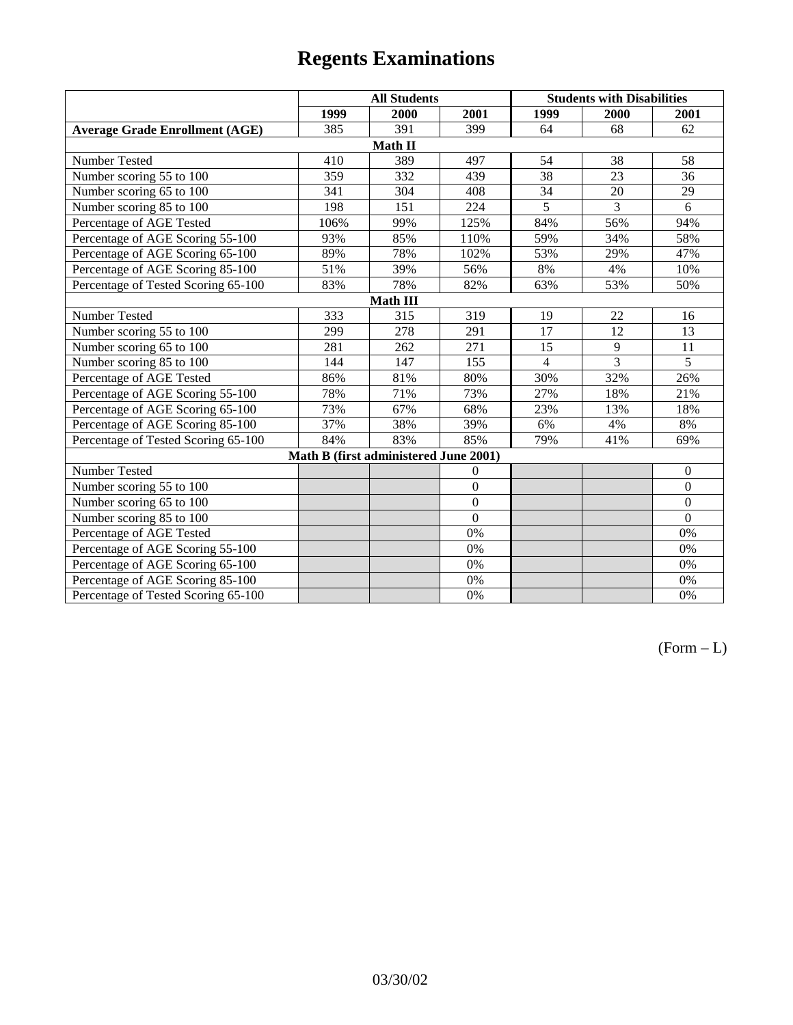|                                       | <b>All Students</b> |                                       |                |                | <b>Students with Disabilities</b> |                  |  |  |
|---------------------------------------|---------------------|---------------------------------------|----------------|----------------|-----------------------------------|------------------|--|--|
|                                       | 1999                | 2000                                  | 2001           | 1999           | 2000                              | 2001             |  |  |
| <b>Average Grade Enrollment (AGE)</b> | 385                 | 391                                   | 399            | 64             | 68                                | 62               |  |  |
|                                       |                     | Math II                               |                |                |                                   |                  |  |  |
| Number Tested                         | 410                 | 389                                   | 497            | 54             | 38                                | 58               |  |  |
| Number scoring 55 to 100              | 359                 | 332                                   | 439            | 38             | 23                                | 36               |  |  |
| Number scoring 65 to 100              | 341                 | 304                                   | 408            | 34             | 20                                | 29               |  |  |
| Number scoring 85 to 100              | 198                 | 151                                   | 224            | $\overline{5}$ | $\overline{3}$                    | 6                |  |  |
| Percentage of AGE Tested              | 106%                | 99%                                   | 125%           | 84%            | 56%                               | 94%              |  |  |
| Percentage of AGE Scoring 55-100      | 93%                 | 85%                                   | 110%           | 59%            | 34%                               | 58%              |  |  |
| Percentage of AGE Scoring 65-100      | 89%                 | 78%                                   | 102%           | 53%            | 29%                               | 47%              |  |  |
| Percentage of AGE Scoring 85-100      | 51%                 | 39%                                   | 56%            | 8%             | 4%                                | 10%              |  |  |
| Percentage of Tested Scoring 65-100   | 83%                 | 78%                                   | 82%            | 63%            | 53%                               | 50%              |  |  |
| Math III                              |                     |                                       |                |                |                                   |                  |  |  |
| Number Tested                         | 333                 | 315                                   | 319            | 19             | 22                                | 16               |  |  |
| Number scoring 55 to 100              | 299                 | 278                                   | 291            | 17             | 12                                | 13               |  |  |
| Number scoring 65 to 100              | 281                 | 262                                   | 271            | 15             | 9                                 | 11               |  |  |
| Number scoring 85 to 100              | 144                 | 147                                   | 155            | $\overline{4}$ | 3                                 | 5                |  |  |
| Percentage of AGE Tested              | 86%                 | 81%                                   | 80%            | 30%            | 32%                               | 26%              |  |  |
| Percentage of AGE Scoring 55-100      | 78%                 | 71%                                   | 73%            | 27%            | 18%                               | 21%              |  |  |
| Percentage of AGE Scoring 65-100      | 73%                 | 67%                                   | 68%            | 23%            | 13%                               | 18%              |  |  |
| Percentage of AGE Scoring 85-100      | 37%                 | 38%                                   | 39%            | 6%             | 4%                                | $8\%$            |  |  |
| Percentage of Tested Scoring 65-100   | 84%                 | 83%                                   | 85%            | 79%            | 41%                               | 69%              |  |  |
|                                       |                     | Math B (first administered June 2001) |                |                |                                   |                  |  |  |
| Number Tested                         |                     |                                       | $\overline{0}$ |                |                                   | $\boldsymbol{0}$ |  |  |
| Number scoring 55 to 100              |                     |                                       | $\overline{0}$ |                |                                   | $\mathbf{0}$     |  |  |
| Number scoring 65 to 100              |                     |                                       | $\overline{0}$ |                |                                   | $\boldsymbol{0}$ |  |  |
| Number scoring 85 to 100              |                     |                                       | $\overline{0}$ |                |                                   | $\mathbf{0}$     |  |  |
| Percentage of AGE Tested              |                     |                                       | 0%             |                |                                   | $0\%$            |  |  |
| Percentage of AGE Scoring 55-100      |                     |                                       | 0%             |                |                                   | 0%               |  |  |
| Percentage of AGE Scoring 65-100      |                     |                                       | 0%             |                |                                   | $0\%$            |  |  |
| Percentage of AGE Scoring 85-100      |                     |                                       | 0%             |                |                                   | 0%               |  |  |
| Percentage of Tested Scoring 65-100   |                     |                                       | 0%             |                |                                   | $0\%$            |  |  |

 $(Form - L)$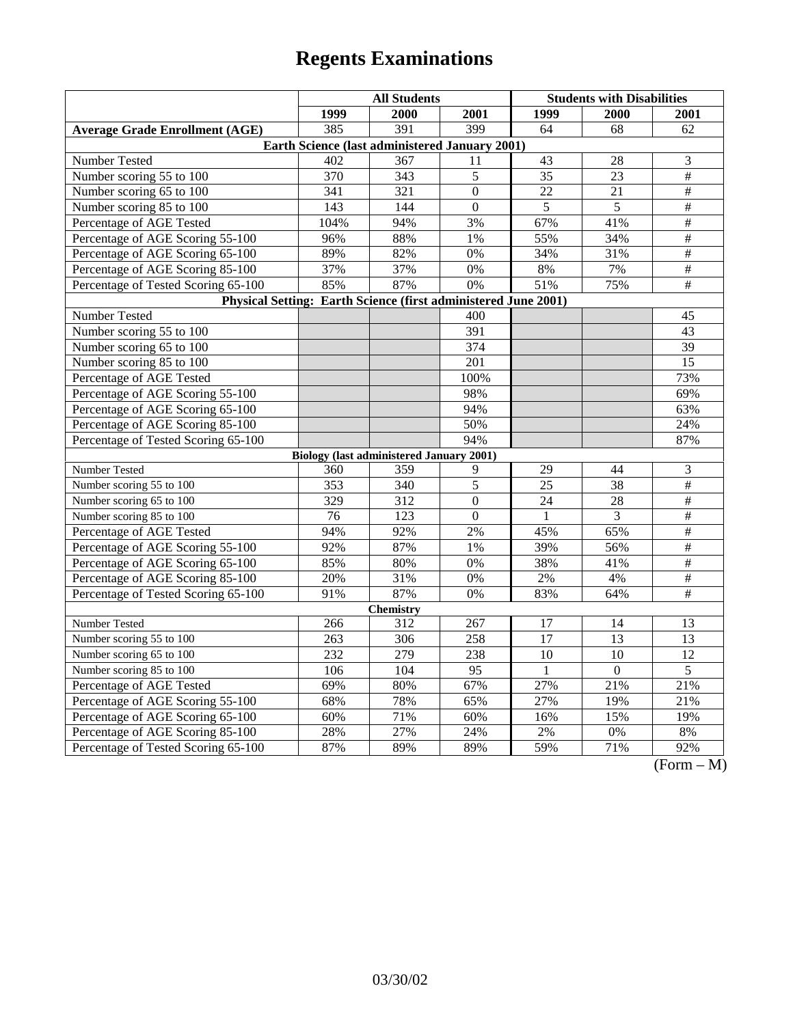|                                                                | <b>All Students</b> |                                                 |                  | <b>Students with Disabilities</b> |                  |                                 |  |  |
|----------------------------------------------------------------|---------------------|-------------------------------------------------|------------------|-----------------------------------|------------------|---------------------------------|--|--|
|                                                                | 1999                | 2000                                            | 2001             | 1999                              | 2000             | 2001                            |  |  |
| <b>Average Grade Enrollment (AGE)</b>                          | 385                 | 391                                             | 399              | 64                                | 68               | 62                              |  |  |
| Earth Science (last administered January 2001)                 |                     |                                                 |                  |                                   |                  |                                 |  |  |
| Number Tested                                                  | 402                 | 367                                             | 11               | 43                                | 28               | 3                               |  |  |
| Number scoring 55 to 100                                       | 370                 | 343                                             | 5                | $\overline{35}$                   | 23               | $\overline{\#}$                 |  |  |
| Number scoring 65 to 100                                       | 341                 | 321                                             | $\Omega$         | 22                                | 21               | $\overline{\ddot{}}$            |  |  |
| Number scoring 85 to 100                                       | 143                 | 144                                             | $\mathbf{0}$     | 5                                 | 5                | $\#$                            |  |  |
| Percentage of AGE Tested                                       | 104%                | 94%                                             | 3%               | 67%                               | 41%              | $\overline{\#}$                 |  |  |
| Percentage of AGE Scoring 55-100                               | 96%                 | 88%                                             | 1%               | 55%                               | 34%              | $\overline{\#}$                 |  |  |
| Percentage of AGE Scoring 65-100                               | 89%                 | 82%                                             | 0%               | 34%                               | 31%              | $\overline{\#}$                 |  |  |
| Percentage of AGE Scoring 85-100                               | 37%                 | 37%                                             | 0%               | 8%                                | 7%               | $\overline{\#}$                 |  |  |
| Percentage of Tested Scoring 65-100                            | 85%                 | 87%                                             | 0%               | 51%                               | 75%              | $\#$                            |  |  |
| Physical Setting: Earth Science (first administered June 2001) |                     |                                                 |                  |                                   |                  |                                 |  |  |
| Number Tested                                                  |                     |                                                 | 400              |                                   |                  | 45                              |  |  |
| Number scoring 55 to 100                                       |                     |                                                 | $\overline{391}$ |                                   |                  | 43                              |  |  |
| Number scoring 65 to 100                                       |                     |                                                 | 374              |                                   |                  | 39                              |  |  |
| Number scoring 85 to 100                                       |                     |                                                 | 201              |                                   |                  | 15                              |  |  |
| Percentage of AGE Tested                                       |                     |                                                 | 100%             |                                   |                  | 73%                             |  |  |
| Percentage of AGE Scoring 55-100                               |                     |                                                 | 98%              |                                   |                  | 69%                             |  |  |
| Percentage of AGE Scoring 65-100                               |                     |                                                 | 94%              |                                   |                  | 63%                             |  |  |
| Percentage of AGE Scoring 85-100                               |                     |                                                 | 50%              |                                   |                  | 24%                             |  |  |
| Percentage of Tested Scoring 65-100                            |                     |                                                 | 94%              |                                   |                  | 87%                             |  |  |
|                                                                |                     | <b>Biology (last administered January 2001)</b> |                  |                                   |                  |                                 |  |  |
| Number Tested                                                  | 360                 | 359                                             | 9                | 29                                | 44               | $\mathfrak{Z}$                  |  |  |
| Number scoring 55 to 100                                       | 353                 | 340                                             | 5                | 25                                | 38               | $\overline{\ddot{}}$            |  |  |
| Number scoring 65 to 100                                       | 329                 | 312                                             | $\Omega$         | 24                                | 28               | $\#$                            |  |  |
| Number scoring 85 to 100                                       | 76                  | 123                                             | $\Omega$         | 1                                 | 3                | $\overline{\ddot{}}$            |  |  |
| Percentage of AGE Tested                                       | 94%                 | 92%                                             | 2%               | 45%                               | 65%              | $\#$                            |  |  |
| Percentage of AGE Scoring 55-100                               | 92%                 | 87%                                             | 1%               | 39%                               | 56%              | $\overline{\#}$                 |  |  |
| Percentage of AGE Scoring 65-100                               | 85%                 | 80%                                             | 0%               | 38%                               | 41%              | $\#$                            |  |  |
| Percentage of AGE Scoring 85-100                               | 20%                 | 31%                                             | 0%               | $2\%$                             | 4%               | $\overline{\#}$                 |  |  |
| Percentage of Tested Scoring 65-100                            | 91%                 | 87%                                             | 0%               | 83%                               | 64%              | $\overline{\#}$                 |  |  |
| Chemistry                                                      |                     |                                                 |                  |                                   |                  |                                 |  |  |
| Number Tested                                                  | 266                 | 312                                             | 267              | 17                                | 14               | 13                              |  |  |
| Number scoring 55 to 100                                       | 263                 | 306                                             | 258              | $\overline{17}$                   | 13               | 13                              |  |  |
| Number scoring 65 to 100                                       | $\overline{232}$    | 279                                             | 238              | 10                                | 10               | $\overline{12}$                 |  |  |
| Number scoring 85 to 100                                       | 106                 | 104                                             | 95               | $\mathbf{1}$                      | $\boldsymbol{0}$ | 5                               |  |  |
| Percentage of AGE Tested                                       | 69%                 | 80%                                             | 67%              | 27%                               | 21%              | 21%                             |  |  |
| Percentage of AGE Scoring 55-100                               | 68%                 | 78%                                             | 65%              | 27%                               | 19%              | 21%                             |  |  |
| Percentage of AGE Scoring 65-100                               | 60%                 | 71%                                             | 60%              | 16%                               | 15%              | 19%                             |  |  |
| Percentage of AGE Scoring 85-100                               | 28%                 | 27%                                             | 24%              | $2\%$                             | $0\%$            | $8\%$                           |  |  |
| Percentage of Tested Scoring 65-100                            | 87%                 | 89%                                             | 89%              | 59%                               | 71%              | 92%<br>$\Gamma$<br>$\mathbf{M}$ |  |  |

(Form – M)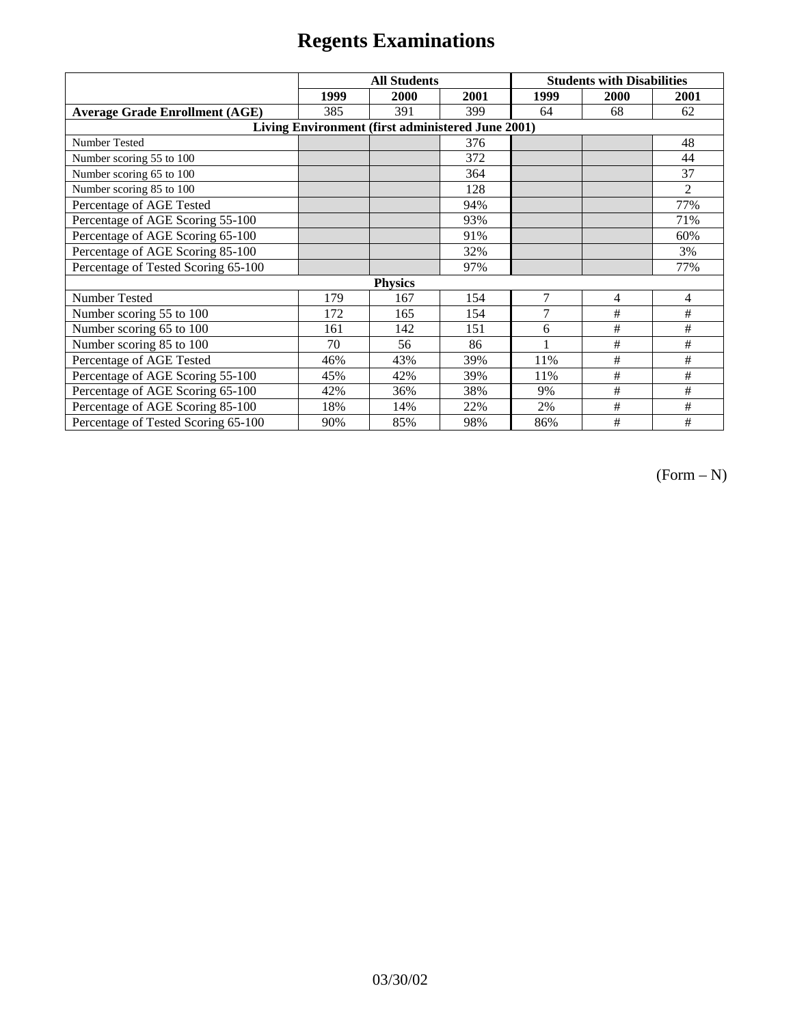|                                                   | <b>All Students</b> |      |      | <b>Students with Disabilities</b> |      |                |  |  |
|---------------------------------------------------|---------------------|------|------|-----------------------------------|------|----------------|--|--|
|                                                   | 1999                | 2000 | 2001 | 1999                              | 2000 | 2001           |  |  |
| <b>Average Grade Enrollment (AGE)</b>             | 385                 | 391  | 399  | 64                                | 68   | 62             |  |  |
| Living Environment (first administered June 2001) |                     |      |      |                                   |      |                |  |  |
| <b>Number Tested</b>                              |                     |      | 376  |                                   |      | 48             |  |  |
| Number scoring 55 to 100                          |                     |      | 372  |                                   |      | 44             |  |  |
| Number scoring 65 to 100                          |                     |      | 364  |                                   |      | 37             |  |  |
| Number scoring 85 to 100                          |                     |      | 128  |                                   |      | $\overline{2}$ |  |  |
| Percentage of AGE Tested                          |                     |      | 94%  |                                   |      | 77%            |  |  |
| Percentage of AGE Scoring 55-100                  |                     |      | 93%  |                                   |      | 71%            |  |  |
| Percentage of AGE Scoring 65-100                  |                     |      | 91%  |                                   |      | 60%            |  |  |
| Percentage of AGE Scoring 85-100                  |                     |      | 32%  |                                   |      | 3%             |  |  |
| Percentage of Tested Scoring 65-100               |                     |      | 97%  |                                   |      | 77%            |  |  |
| <b>Physics</b>                                    |                     |      |      |                                   |      |                |  |  |
| Number Tested                                     | 179                 | 167  | 154  | $\overline{7}$                    | 4    | 4              |  |  |
| Number scoring 55 to 100                          | 172                 | 165  | 154  | $\overline{7}$                    | #    | #              |  |  |
| Number scoring 65 to 100                          | 161                 | 142  | 151  | 6                                 | #    | #              |  |  |
| Number scoring 85 to 100                          | 70                  | 56   | 86   |                                   | #    | #              |  |  |
| Percentage of AGE Tested                          | 46%                 | 43%  | 39%  | 11%                               | $\#$ | #              |  |  |
| Percentage of AGE Scoring 55-100                  | 45%                 | 42%  | 39%  | 11%                               | #    | #              |  |  |
| Percentage of AGE Scoring 65-100                  | 42%                 | 36%  | 38%  | 9%                                | #    | #              |  |  |
| Percentage of AGE Scoring 85-100                  | 18%                 | 14%  | 22%  | 2%                                | #    | #              |  |  |
| Percentage of Tested Scoring 65-100               | 90%                 | 85%  | 98%  | 86%                               | #    | #              |  |  |

 $(Form - N)$